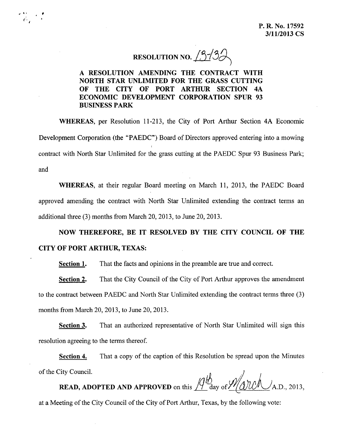RESOLUTION NO.  $13/3$ 

A RESOLUTION AMENDING THE CONTRACT WITH NORTH STAR UNLIMITED FOR THE GRASS CUTTING OF THE CITY OF PORT ARTHUR SECTION 4A ECONOMIC DEVELOPMENT CORPORATION SPUR 93 BUSINESS PARK

",' ,. ,

r. *I*

> WHEREAS, per Resolution 11-213, the City of Port Arthur Section 4A Economic Development Corporation (the "PAEDC") Board of Directors approved entering into a mowing contract with North Star Unlimited for the grass cutting at the PAEDC Spur 93 Business Park; and

> WHEREAS, at their regular Board meeting on March 11, 2013, the PAEDC Board approved amending the contract with North Star Unlimited extending the contract terms an additional three (3) months from March 20, 2013, to June 20, 2013.

## NOW THEREFORE, BE IT RESOLVED BY THE CITY COUNCIL OF THE CITY OF PORT ARTHUR, TEXAS:

Section 1. That the facts and opinions in the preamble are true and correct.

Section 2. That the City Council of the City of Port Arthur approves the amendment to the contract between PAEDC and North Star Unlimited extending the contract terms three (3) months from March 20,2013, to June 20, 2013.

Section 3. That an authorized representative of North Star Unlimited will sign this resolution agreeing to the terms thereof.

Section 4. That a copy of the caption of this Resolution be spread upon the Minutes of the City Council.  $\mathcal{A}$   $\mathcal{A}$ 

**READ, ADOPTED AND APPROVED** on this  $\frac{1}{2}$  day of  $\frac{\gamma}{2}$  (QUU  $\sqrt{3}$ , 2013,

at a Meeting of the City Council of the City of Port Arthur, Texas, by the following vote: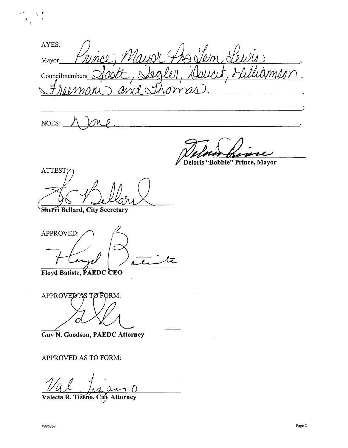AYES: Mayor gler, x Councilmembers

NOES:

"<br>"" 1.

 $\mathcal{C}^{\mathcal{A}}$ 

~

~Bobbie" **Prince, Mayor**

**ATTEST** 

**Sherri Bellard, City Secretary** 

APPROVED:

Floyd Batiste, PAEDC CEO

APPROVED AS TO FORM:

**Guy N. Goodson, PAEDC Attorney**

APPROVED AS TO FORM:

**Valeda R. Tizeno, Cit** *v*